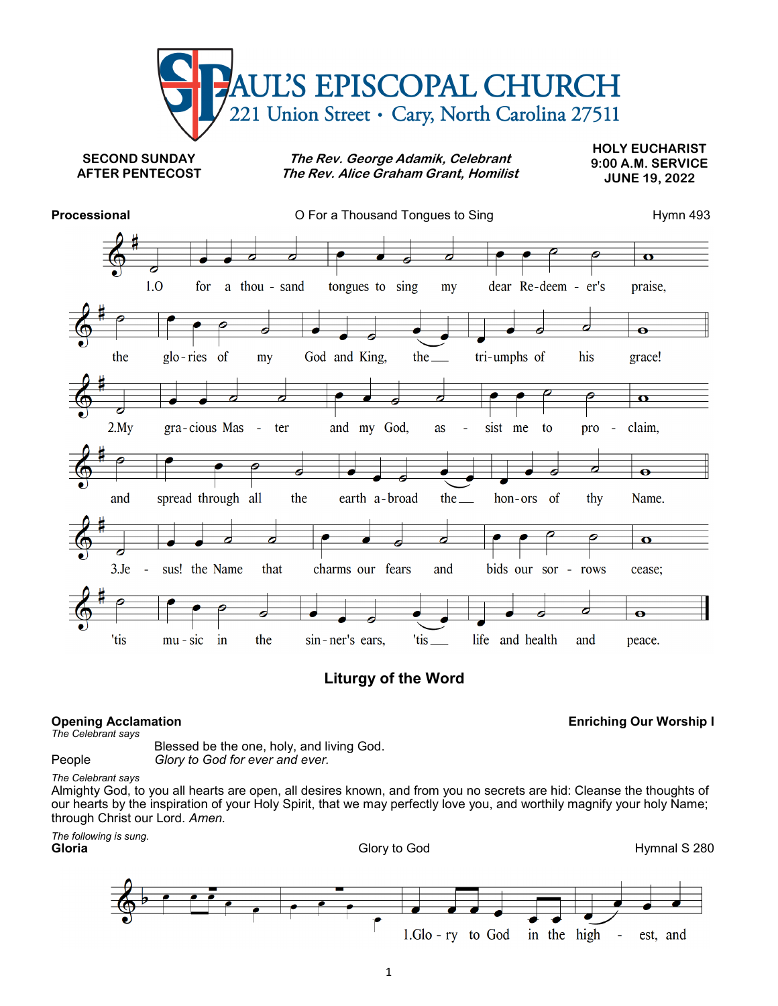

**SECOND SUNDAY AFTER PENTECOST**

**The Rev. George Adamik, Celebrant The Rev. Alice Graham Grant, Homilist**

**HOLY EUCHARIST 9:00 A.M. SERVICE JUNE 19, 2022**



## **Liturgy of the Word**

## **Opening Acclamation Enriching Our Worship I**

*The Celebrant says*

Blessed be the one, holy, and living God. People *Glory to God for ever and ever.*

## *The Celebrant says*

Almighty God, to you all hearts are open, all desires known, and from you no secrets are hid: Cleanse the thoughts of our hearts by the inspiration of your Holy Spirit, that we may perfectly love you, and worthily magnify your holy Name; through Christ our Lord. *Amen.*

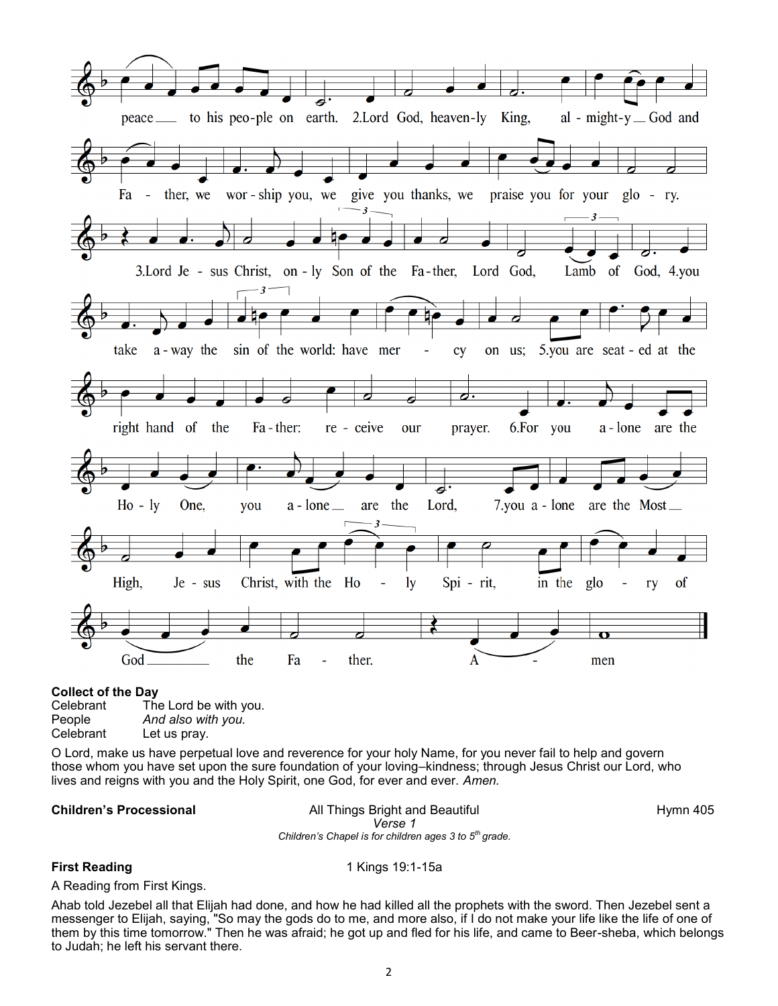

# **Collect of the Day**

Celebrant The Lord be with you.<br>People And also with you. People *And also with you.* Let us pray.

O Lord, make us have perpetual love and reverence for your holy Name, for you never fail to help and govern those whom you have set upon the sure foundation of your loving–kindness; through Jesus Christ our Lord, who lives and reigns with you and the Holy Spirit, one God, for ever and ever. *Amen.* 

**Children's Processional <b>All Things Bright and Beautiful** Hymn 405 *Verse 1 Children's Chapel is for children ages 3 to 5th grade.*

**First Reading 1 All 2008 1 Kings 19:1-15a** 

A Reading from First Kings.

Ahab told Jezebel all that Elijah had done, and how he had killed all the prophets with the sword. Then Jezebel sent a messenger to Elijah, saying, "So may the gods do to me, and more also, if I do not make your life like the life of one of them by this time tomorrow." Then he was afraid; he got up and fled for his life, and came to Beer-sheba, which belongs to Judah; he left his servant there.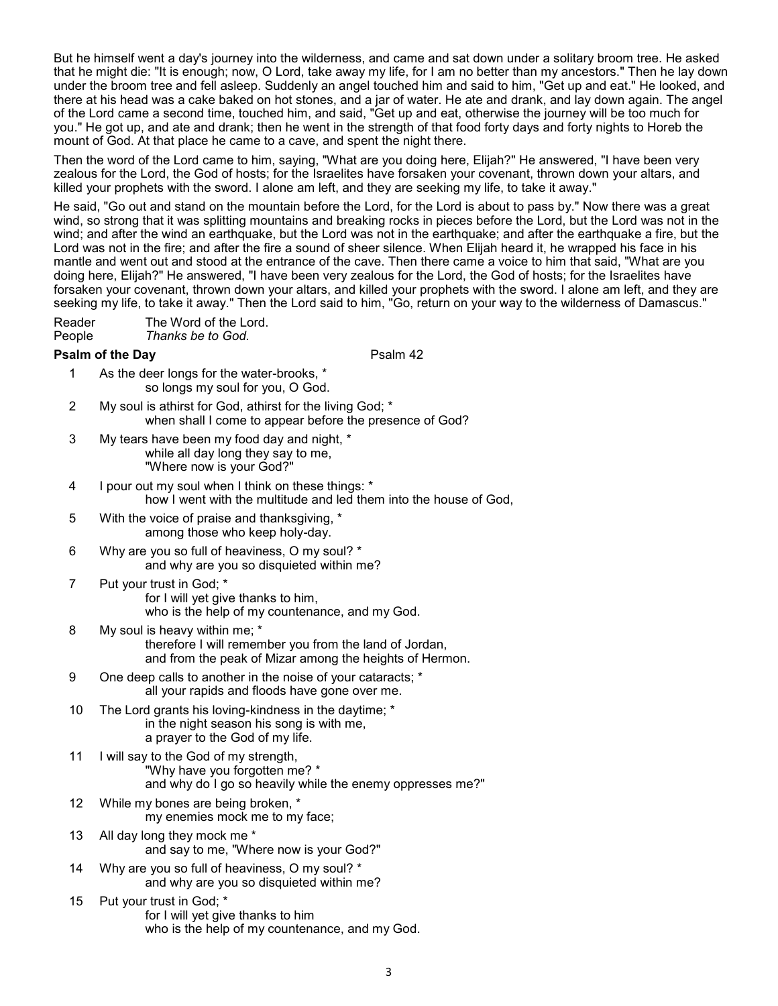But he himself went a day's journey into the wilderness, and came and sat down under a solitary broom tree. He asked that he might die: "It is enough; now, O Lord, take away my life, for I am no better than my ancestors." Then he lay down under the broom tree and fell asleep. Suddenly an angel touched him and said to him, "Get up and eat." He looked, and there at his head was a cake baked on hot stones, and a jar of water. He ate and drank, and lay down again. The angel of the Lord came a second time, touched him, and said, "Get up and eat, otherwise the journey will be too much for you." He got up, and ate and drank; then he went in the strength of that food forty days and forty nights to Horeb the mount of God. At that place he came to a cave, and spent the night there.

Then the word of the Lord came to him, saying, "What are you doing here, Elijah?" He answered, "I have been very zealous for the Lord, the God of hosts; for the Israelites have forsaken your covenant, thrown down your altars, and killed your prophets with the sword. I alone am left, and they are seeking my life, to take it away."

He said, "Go out and stand on the mountain before the Lord, for the Lord is about to pass by." Now there was a great wind, so strong that it was splitting mountains and breaking rocks in pieces before the Lord, but the Lord was not in the wind; and after the wind an earthquake, but the Lord was not in the earthquake; and after the earthquake a fire, but the Lord was not in the fire; and after the fire a sound of sheer silence. When Elijah heard it, he wrapped his face in his mantle and went out and stood at the entrance of the cave. Then there came a voice to him that said, "What are you doing here, Elijah?" He answered, "I have been very zealous for the Lord, the God of hosts; for the Israelites have forsaken your covenant, thrown down your altars, and killed your prophets with the sword. I alone am left, and they are seeking my life, to take it away." Then the Lord said to him, "Go, return on your way to the wilderness of Damascus."

Reader The Word of the Lord.<br>People Thanks be to God. **Thanks be to God.** 

**Psalm of the Day** Psalm 42

- 1 As the deer longs for the water-brooks, \* so longs my soul for you, O God.
- 2 My soul is athirst for God, athirst for the living God; \* when shall I come to appear before the presence of God?
- 3 My tears have been my food day and night, \* while all day long they say to me, "Where now is your God?"
- 4 I pour out my soul when I think on these things: \* how I went with the multitude and led them into the house of God,
- 5 With the voice of praise and thanksgiving, \* among those who keep holy-day.
- 6 Why are you so full of heaviness, O my soul? \* and why are you so disquieted within me?
- 7 Put your trust in God; \* for I will yet give thanks to him, who is the help of my countenance, and my God.
- 8 My soul is heavy within me; \* therefore I will remember you from the land of Jordan, and from the peak of Mizar among the heights of Hermon.
- 9 One deep calls to another in the noise of your cataracts; \* all your rapids and floods have gone over me.
- 10 The Lord grants his loving-kindness in the daytime; \* in the night season his song is with me, a prayer to the God of my life.
- 11 I will say to the God of my strength, "Why have you forgotten me? \* and why do I go so heavily while the enemy oppresses me?"
- 12 While my bones are being broken, \* my enemies mock me to my face;
- 13 All day long they mock me \* and say to me, "Where now is your God?"
- 14 Why are you so full of heaviness, O my soul? \* and why are you so disquieted within me?
- 15 Put your trust in God; \* for I will yet give thanks to him who is the help of my countenance, and my God.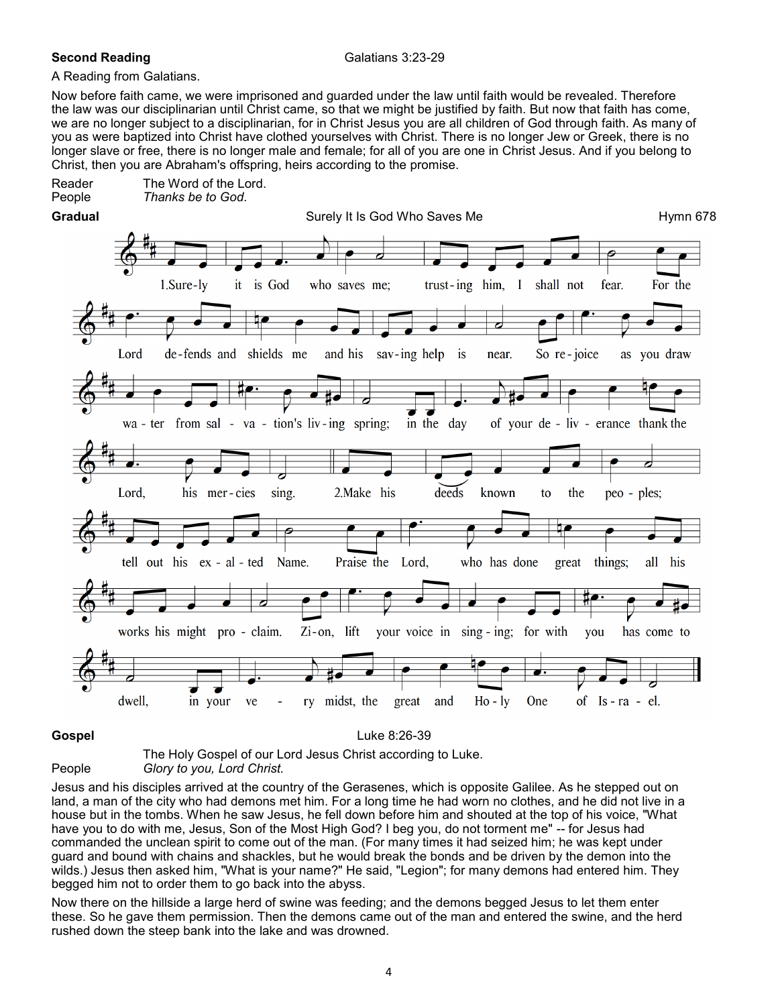**Second Reading** Galatians 3:23-29

## A Reading from Galatians.

Now before faith came, we were imprisoned and guarded under the law until faith would be revealed. Therefore the law was our disciplinarian until Christ came, so that we might be justified by faith. But now that faith has come, we are no longer subject to a disciplinarian, for in Christ Jesus you are all children of God through faith. As many of you as were baptized into Christ have clothed yourselves with Christ. There is no longer Jew or Greek, there is no longer slave or free, there is no longer male and female; for all of you are one in Christ Jesus. And if you belong to Christ, then you are Abraham's offspring, heirs according to the promise.



**Gospel** Luke 8:26-39

The Holy Gospel of our Lord Jesus Christ according to Luke. People *Glory to you, Lord Christ.*

Jesus and his disciples arrived at the country of the Gerasenes, which is opposite Galilee. As he stepped out on land, a man of the city who had demons met him. For a long time he had worn no clothes, and he did not live in a house but in the tombs. When he saw Jesus, he fell down before him and shouted at the top of his voice, "What have you to do with me, Jesus, Son of the Most High God? I beg you, do not torment me" -- for Jesus had commanded the unclean spirit to come out of the man. (For many times it had seized him; he was kept under guard and bound with chains and shackles, but he would break the bonds and be driven by the demon into the wilds.) Jesus then asked him, "What is your name?" He said, "Legion"; for many demons had entered him. They begged him not to order them to go back into the abyss.

Now there on the hillside a large herd of swine was feeding; and the demons begged Jesus to let them enter these. So he gave them permission. Then the demons came out of the man and entered the swine, and the herd rushed down the steep bank into the lake and was drowned.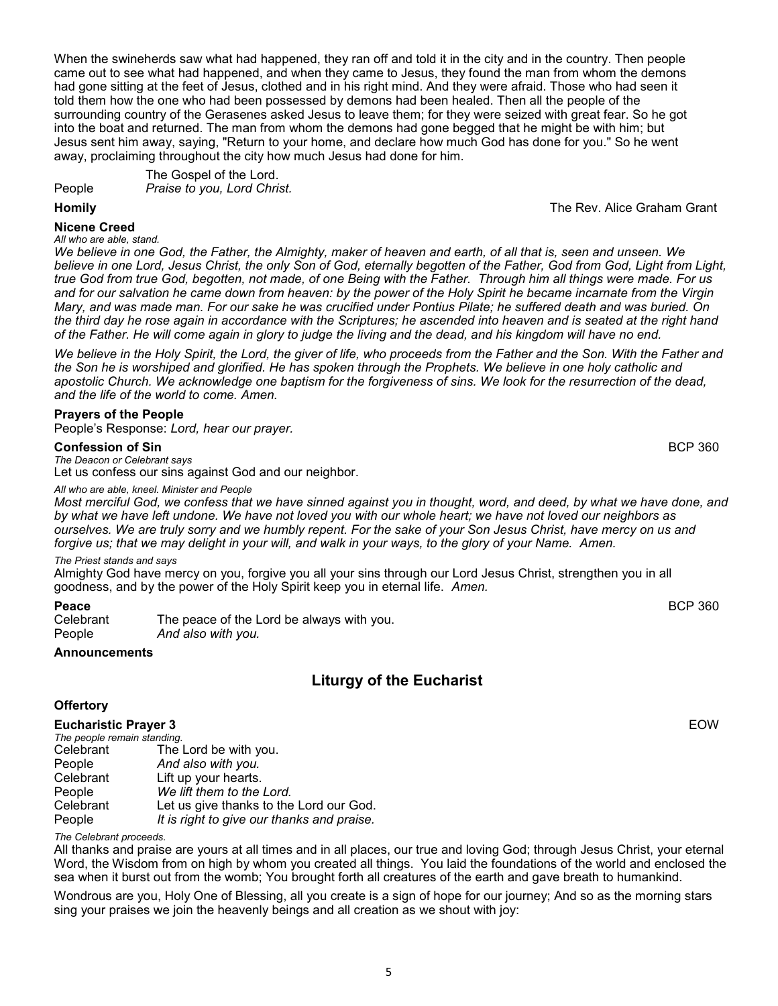When the swineherds saw what had happened, they ran off and told it in the city and in the country. Then people came out to see what had happened, and when they came to Jesus, they found the man from whom the demons had gone sitting at the feet of Jesus, clothed and in his right mind. And they were afraid. Those who had seen it told them how the one who had been possessed by demons had been healed. Then all the people of the surrounding country of the Gerasenes asked Jesus to leave them; for they were seized with great fear. So he got into the boat and returned. The man from whom the demons had gone begged that he might be with him; but Jesus sent him away, saying, "Return to your home, and declare how much God has done for you." So he went away, proclaiming throughout the city how much Jesus had done for him.

The Gospel of the Lord. People *Praise to you, Lord Christ.* 

**Homily** The Rev. Alice Graham Grant

## **Nicene Creed**

*All who are able, stand.*

*We believe in one God, the Father, the Almighty, maker of heaven and earth, of all that is, seen and unseen. We believe in one Lord, Jesus Christ, the only Son of God, eternally begotten of the Father, God from God, Light from Light, true God from true God, begotten, not made, of one Being with the Father. Through him all things were made. For us and for our salvation he came down from heaven: by the power of the Holy Spirit he became incarnate from the Virgin Mary, and was made man. For our sake he was crucified under Pontius Pilate; he suffered death and was buried. On the third day he rose again in accordance with the Scriptures; he ascended into heaven and is seated at the right hand*  of the Father. He will come again in glory to judge the living and the dead, and his kingdom will have no end.

We believe in the Holy Spirit, the Lord, the giver of life, who proceeds from the Father and the Son. With the Father and the Son he is worshiped and glorified. He has spoken through the Prophets. We believe in one holy catholic and *apostolic Church. We acknowledge one baptism for the forgiveness of sins. We look for the resurrection of the dead, and the life of the world to come. Amen.*

## **Prayers of the People**

People's Response: *Lord, hear our prayer.*

## **Confession of Sin** BCP 360

*The Deacon or Celebrant says* Let us confess our sins against God and our neighbor.

## *All who are able, kneel. Minister and People*

*Most merciful God, we confess that we have sinned against you in thought, word, and deed, by what we have done, and by what we have left undone. We have not loved you with our whole heart; we have not loved our neighbors as ourselves. We are truly sorry and we humbly repent. For the sake of your Son Jesus Christ, have mercy on us and forgive us; that we may delight in your will, and walk in your ways, to the glory of your Name. Amen.*

## *The Priest stands and says*

Almighty God have mercy on you, forgive you all your sins through our Lord Jesus Christ, strengthen you in all goodness, and by the power of the Holy Spirit keep you in eternal life. *Amen.*

## **Peace BCP 360**

Celebrant The peace of the Lord be always with you. People *And also with you.*

## **Announcements**

## **Liturgy of the Eucharist**

## **Offertory**

## **Eucharistic Prayer 3** EOW

| The people remain standing. |                                            |
|-----------------------------|--------------------------------------------|
| Celebrant                   | The Lord be with you.                      |
| People                      | And also with you.                         |
| Celebrant                   | Lift up your hearts.                       |
| People                      | We lift them to the Lord.                  |
| Celebrant                   | Let us give thanks to the Lord our God.    |
| People                      | It is right to give our thanks and praise. |
|                             |                                            |

*The Celebrant proceeds.*

All thanks and praise are yours at all times and in all places, our true and loving God; through Jesus Christ, your eternal Word, the Wisdom from on high by whom you created all things. You laid the foundations of the world and enclosed the sea when it burst out from the womb; You brought forth all creatures of the earth and gave breath to humankind.

Wondrous are you, Holy One of Blessing, all you create is a sign of hope for our journey; And so as the morning stars sing your praises we join the heavenly beings and all creation as we shout with joy: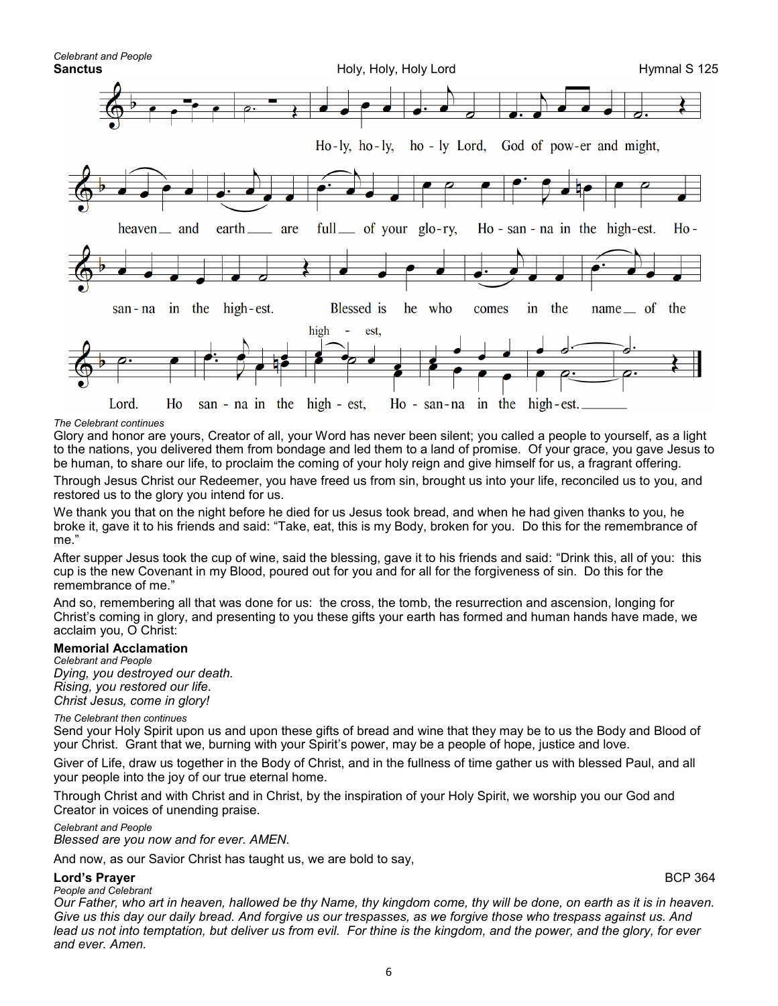

### *The Celebrant continues*

Glory and honor are yours, Creator of all, your Word has never been silent; you called a people to yourself, as a light to the nations, you delivered them from bondage and led them to a land of promise. Of your grace, you gave Jesus to be human, to share our life, to proclaim the coming of your holy reign and give himself for us, a fragrant offering.

Through Jesus Christ our Redeemer, you have freed us from sin, brought us into your life, reconciled us to you, and restored us to the glory you intend for us.

We thank you that on the night before he died for us Jesus took bread, and when he had given thanks to you, he broke it, gave it to his friends and said: "Take, eat, this is my Body, broken for you. Do this for the remembrance of me."

After supper Jesus took the cup of wine, said the blessing, gave it to his friends and said: "Drink this, all of you: this cup is the new Covenant in my Blood, poured out for you and for all for the forgiveness of sin. Do this for the remembrance of me."

And so, remembering all that was done for us: the cross, the tomb, the resurrection and ascension, longing for Christ's coming in glory, and presenting to you these gifts your earth has formed and human hands have made, we acclaim you, O Christ:

## **Memorial Acclamation**

*Celebrant and People Dying, you destroyed our death. Rising, you restored our life. Christ Jesus, come in glory!* 

## *The Celebrant then continues*

Send your Holy Spirit upon us and upon these gifts of bread and wine that they may be to us the Body and Blood of your Christ. Grant that we, burning with your Spirit's power, may be a people of hope, justice and love.

Giver of Life, draw us together in the Body of Christ, and in the fullness of time gather us with blessed Paul, and all your people into the joy of our true eternal home.

Through Christ and with Christ and in Christ, by the inspiration of your Holy Spirit, we worship you our God and Creator in voices of unending praise.

*Celebrant and People Blessed are you now and for ever. AMEN.* 

And now, as our Savior Christ has taught us, we are bold to say,

## **Lord's Prayer** BCP 364

*People and Celebrant Our Father, who art in heaven, hallowed be thy Name, thy kingdom come, thy will be done, on earth as it is in heaven. Give us this day our daily bread. And forgive us our trespasses, as we forgive those who trespass against us. And lead us not into temptation, but deliver us from evil. For thine is the kingdom, and the power, and the glory, for ever and ever. Amen.*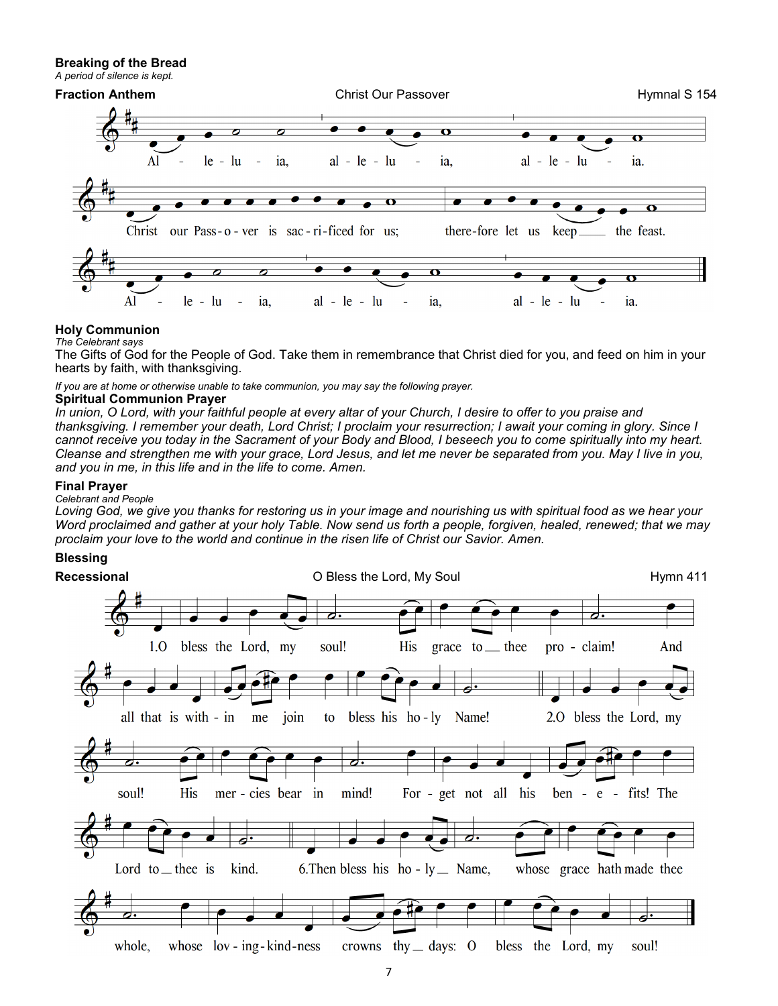## **Breaking of the Bread**



## **Holy Communion**

*The Celebrant says*

The Gifts of God for the People of God. Take them in remembrance that Christ died for you, and feed on him in your hearts by faith, with thanksgiving.

*If you are at home or otherwise unable to take communion, you may say the following prayer.*

## **Spiritual Communion Prayer**

*In union, O Lord, with your faithful people at every altar of your Church, I desire to offer to you praise and thanksgiving. I remember your death, Lord Christ; I proclaim your resurrection; I await your coming in glory. Since I cannot receive you today in the Sacrament of your Body and Blood, I beseech you to come spiritually into my heart. Cleanse and strengthen me with your grace, Lord Jesus, and let me never be separated from you. May I live in you, and you in me, in this life and in the life to come. Amen.*

## **Final Prayer**

## *Celebrant and People*

*Loving God, we give you thanks for restoring us in your image and nourishing us with spiritual food as we hear your Word proclaimed and gather at your holy Table. Now send us forth a people, forgiven, healed, renewed; that we may proclaim your love to the world and continue in the risen life of Christ our Savior. Amen.* 

## **Blessing**